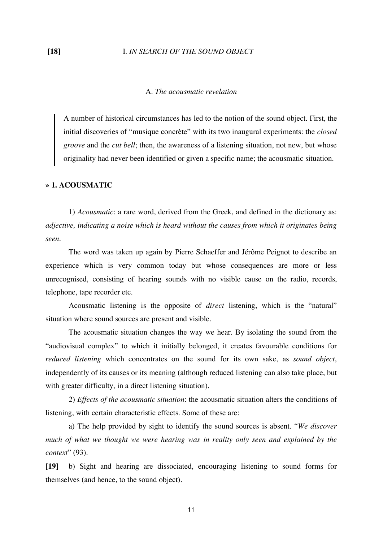## **[18]** I. *IN SEARCH OF THE SOUND OBJECT*

# A. *The acousmatic revelation*

A number of historical circumstances has led to the notion of the sound object. First, the initial discoveries of "musique concrète" with its two inaugural experiments: the *closed groove* and the *cut bell*; then, the awareness of a listening situation, not new, but whose originality had never been identified or given a specific name; the acousmatic situation.

## **» 1. ACOUSMATIC**

 1) *Acousmatic*: a rare word, derived from the Greek, and defined in the dictionary as: *adjective, indicating a noise which is heard without the causes from which it originates being seen*.

 The word was taken up again by Pierre Schaeffer and Jérôme Peignot to describe an experience which is very common today but whose consequences are more or less unrecognised, consisting of hearing sounds with no visible cause on the radio, records, telephone, tape recorder etc.

 Acousmatic listening is the opposite of *direct* listening, which is the "natural" situation where sound sources are present and visible.

 The acousmatic situation changes the way we hear. By isolating the sound from the "audiovisual complex" to which it initially belonged, it creates favourable conditions for *reduced listening* which concentrates on the sound for its own sake, as *sound object*, independently of its causes or its meaning (although reduced listening can also take place, but with greater difficulty, in a direct listening situation).

 2) *Effects of the acousmatic situation*: the acousmatic situation alters the conditions of listening, with certain characteristic effects. Some of these are:

 a) The help provided by sight to identify the sound sources is absent. "*We discover much of what we thought we were hearing was in reality only seen and explained by the context*" (93).

**[19]** b) Sight and hearing are dissociated, encouraging listening to sound forms for themselves (and hence, to the sound object).

11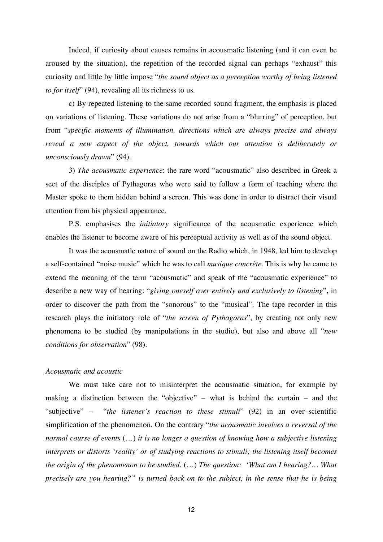Indeed, if curiosity about causes remains in acousmatic listening (and it can even be aroused by the situation), the repetition of the recorded signal can perhaps "exhaust" this curiosity and little by little impose "*the sound object as a perception worthy of being listened to for itself*" (94), revealing all its richness to us.

 c) By repeated listening to the same recorded sound fragment, the emphasis is placed on variations of listening. These variations do not arise from a "blurring" of perception, but from "*specific moments of illumination, directions which are always precise and always reveal a new aspect of the object, towards which our attention is deliberately or unconsciously drawn*" (94).

 3) *The acousmatic experience*: the rare word "acousmatic" also described in Greek a sect of the disciples of Pythagoras who were said to follow a form of teaching where the Master spoke to them hidden behind a screen. This was done in order to distract their visual attention from his physical appearance.

 P.S. emphasises the *initiatory* significance of the acousmatic experience which enables the listener to become aware of his perceptual activity as well as of the sound object.

 It was the acousmatic nature of sound on the Radio which, in 1948, led him to develop a self-contained "noise music" which he was to call *musique concrète*. This is why he came to extend the meaning of the term "acousmatic" and speak of the "acousmatic experience" to describe a new way of hearing: "*giving oneself over entirely and exclusively to listening*", in order to discover the path from the "sonorous" to the "musical". The tape recorder in this research plays the initiatory role of "*the screen of Pythagoras*", by creating not only new phenomena to be studied (by manipulations in the studio), but also and above all "*new conditions for observation*" (98).

# *Acousmatic and acoustic*

We must take care not to misinterpret the acousmatic situation, for example by making a distinction between the "objective" – what is behind the curtain – and the "subjective" – "*the listener's reaction to these stimuli*" (92) in an over–scientific simplification of the phenomenon. On the contrary "*the acousmatic involves a reversal of the normal course of events* (…) *it is no longer a question of knowing how a subjective listening interprets or distorts 'reality' or of studying reactions to stimuli; the listening itself becomes the origin of the phenomenon to be studied*. (…) *The question: 'What am I hearing?… What precisely are you hearing?" is turned back on to the subject, in the sense that he is being*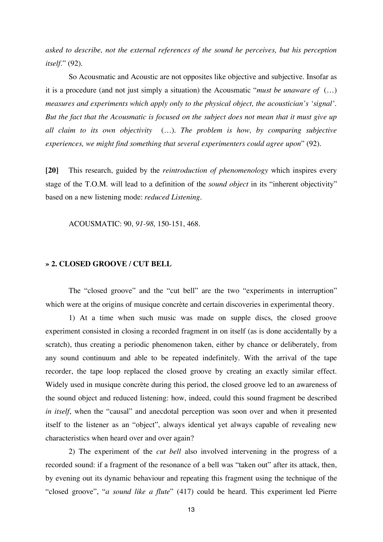*asked to describe, not the external references of the sound he perceives, but his perception itself*." (92).

So Acousmatic and Acoustic are not opposites like objective and subjective. Insofar as it is a procedure (and not just simply a situation) the Acousmatic "*must be unaware of* (…) *measures and experiments which apply only to the physical object, the acoustician's 'signal'. But the fact that the Acousmatic is focused on the subject does not mean that it must give up all claim to its own objectivity* (…). *The problem is how, by comparing subjective experiences, we might find something that several experimenters could agree upon*" (92).

**[20]** This research, guided by the *reintroduction of phenomenology* which inspires every stage of the T.O.M. will lead to a definition of the *sound object* in its "inherent objectivity" based on a new listening mode: *reduced Listening*.

ACOUSMATIC: 90, *91-98*, 150-151, 468.

# **» 2. CLOSED GROOVE / CUT BELL**

 The "closed groove" and the "cut bell" are the two "experiments in interruption" which were at the origins of musique concrète and certain discoveries in experimental theory.

 1) At a time when such music was made on supple discs, the closed groove experiment consisted in closing a recorded fragment in on itself (as is done accidentally by a scratch), thus creating a periodic phenomenon taken, either by chance or deliberately, from any sound continuum and able to be repeated indefinitely. With the arrival of the tape recorder, the tape loop replaced the closed groove by creating an exactly similar effect. Widely used in musique concrète during this period, the closed groove led to an awareness of the sound object and reduced listening: how, indeed, could this sound fragment be described *in itself*, when the "causal" and anecdotal perception was soon over and when it presented itself to the listener as an "object", always identical yet always capable of revealing new characteristics when heard over and over again?

 2) The experiment of the *cut bell* also involved intervening in the progress of a recorded sound: if a fragment of the resonance of a bell was "taken out" after its attack, then, by evening out its dynamic behaviour and repeating this fragment using the technique of the "closed groove", "*a sound like a flute*" (417) could be heard. This experiment led Pierre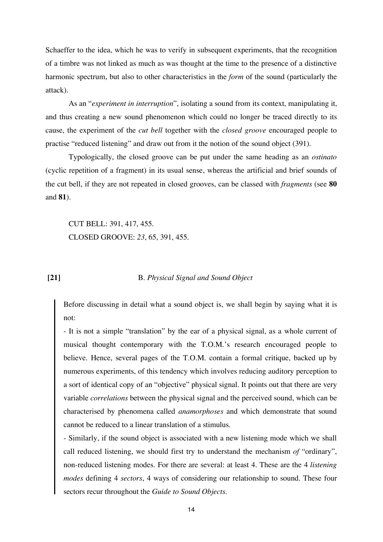Schaeffer to the idea, which he was to verify in subsequent experiments, that the recognition of a timbre was not linked as much as was thought at the time to the presence of a distinctive harmonic spectrum, but also to other characteristics in the *form* of the sound (particularly the attack).

 As an "*experiment in interruption*", isolating a sound from its context, manipulating it, and thus creating a new sound phenomenon which could no longer be traced directly to its cause, the experiment of the *cut bell* together with the *closed groove* encouraged people to practise "reduced listening" and draw out from it the notion of the sound object (391).

 Typologically, the closed groove can be put under the same heading as an *ostinato* (cyclic repetition of a fragment) in its usual sense, whereas the artificial and brief sounds of the cut bell, if they are not repeated in closed grooves, can be classed with *fragments* (see **80** and **81**).

 CUT BELL: 391, 417, 455. CLOSED GROOVE: *23*, 65, 391, 455.

# **[21]** B. *Physical Signal and Sound Object*

Before discussing in detail what a sound object is, we shall begin by saying what it is not:

- It is not a simple "translation" by the ear of a physical signal, as a whole current of musical thought contemporary with the T.O.M.'s research encouraged people to believe. Hence, several pages of the T.O.M. contain a formal critique, backed up by numerous experiments, of this tendency which involves reducing auditory perception to a sort of identical copy of an "objective" physical signal. It points out that there are very variable *correlations* between the physical signal and the perceived sound, which can be characterised by phenomena called *anamorphoses* and which demonstrate that sound cannot be reduced to a linear translation of a stimulus.

- Similarly, if the sound object is associated with a new listening mode which we shall call reduced listening, we should first try to understand the mechanism *of* "ordinary", non-reduced listening modes. For there are several: at least 4. These are the 4 *listening modes* defining 4 *sectors*, 4 ways of considering our relationship to sound. These four sectors recur throughout the *Guide to Sound Objects*.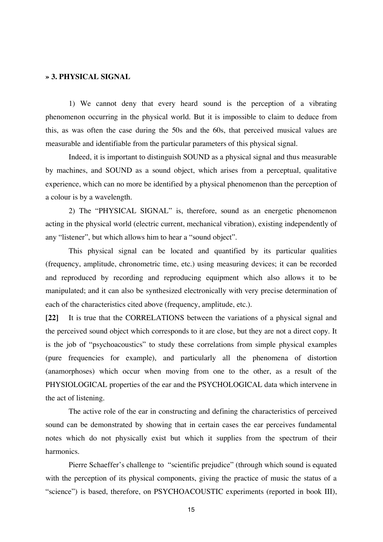## **» 3. PHYSICAL SIGNAL**

 1) We cannot deny that every heard sound is the perception of a vibrating phenomenon occurring in the physical world. But it is impossible to claim to deduce from this, as was often the case during the 50s and the 60s, that perceived musical values are measurable and identifiable from the particular parameters of this physical signal.

 Indeed, it is important to distinguish SOUND as a physical signal and thus measurable by machines, and SOUND as a sound object, which arises from a perceptual, qualitative experience, which can no more be identified by a physical phenomenon than the perception of a colour is by a wavelength.

 2) The "PHYSICAL SIGNAL" is, therefore, sound as an energetic phenomenon acting in the physical world (electric current, mechanical vibration), existing independently of any "listener", but which allows him to hear a "sound object".

 This physical signal can be located and quantified by its particular qualities (frequency, amplitude, chronometric time, etc.) using measuring devices; it can be recorded and reproduced by recording and reproducing equipment which also allows it to be manipulated; and it can also be synthesized electronically with very precise determination of each of the characteristics cited above (frequency, amplitude, etc.).

**[22]** It is true that the CORRELATIONS between the variations of a physical signal and the perceived sound object which corresponds to it are close, but they are not a direct copy. It is the job of "psychoacoustics" to study these correlations from simple physical examples (pure frequencies for example), and particularly all the phenomena of distortion (anamorphoses) which occur when moving from one to the other, as a result of the PHYSIOLOGICAL properties of the ear and the PSYCHOLOGICAL data which intervene in the act of listening.

 The active role of the ear in constructing and defining the characteristics of perceived sound can be demonstrated by showing that in certain cases the ear perceives fundamental notes which do not physically exist but which it supplies from the spectrum of their harmonics.

 Pierre Schaeffer's challenge to "scientific prejudice" (through which sound is equated with the perception of its physical components, giving the practice of music the status of a "science") is based, therefore, on PSYCHOACOUSTIC experiments (reported in book III),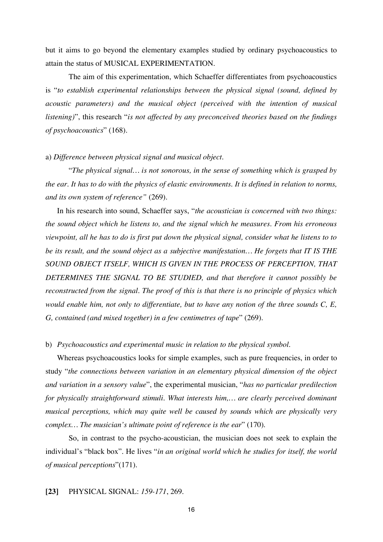but it aims to go beyond the elementary examples studied by ordinary psychoacoustics to attain the status of MUSICAL EXPERIMENTATION.

 The aim of this experimentation, which Schaeffer differentiates from psychoacoustics is "*to establish experimental relationships between the physical signal (sound, defined by acoustic parameters) and the musical object (perceived with the intention of musical listening)*", this research "*is not affected by any preconceived theories based on the findings of psychoacoustics*" (168).

## a) *Difference between physical signal and musical object.*

"*The physical signal… is not sonorous, in the sense of something which is grasped by the ear. It has to do with the physics of elastic environments. It is defined in relation to norms, and its own system of reference"* (269).

In his research into sound, Schaeffer says, "*the acoustician is concerned with two things: the sound object which he listens to, and the signal which he measures. From his erroneous viewpoint, all he has to do is first put down the physical signal, consider what he listens to to be its result, and the sound object as a subjective manifestation… He forgets that IT IS THE SOUND OBJECT ITSELF, WHICH IS GIVEN IN THE PROCESS OF PERCEPTION, THAT DETERMINES THE SIGNAL TO BE STUDIED, and that therefore it cannot possibly be reconstructed from the signal. The proof of this is that there is no principle of physics which would enable him, not only to differentiate, but to have any notion of the three sounds C, E, G, contained (and mixed together) in a few centimetres of tape*" (269).

## b) *Psychoacoustics and experimental music in relation to the physical symbol*.

Whereas psychoacoustics looks for simple examples, such as pure frequencies, in order to study "*the connections between variation in an elementary physical dimension of the object and variation in a sensory value*", the experimental musician, "*has no particular predilection for physically straightforward stimuli. What interests him,… are clearly perceived dominant musical perceptions, which may quite well be caused by sounds which are physically very complex… The musician's ultimate point of reference is the ear*" (170).

 So, in contrast to the psycho-acoustician, the musician does not seek to explain the individual's "black box". He lives "*in an original world which he studies for itself, the world of musical perceptions*"(171).

## **[23]** PHYSICAL SIGNAL: *159-171*, 269.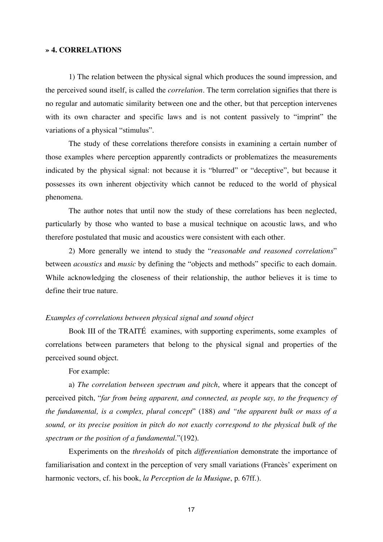## **» 4. CORRELATIONS**

 1) The relation between the physical signal which produces the sound impression, and the perceived sound itself, is called the *correlation*. The term correlation signifies that there is no regular and automatic similarity between one and the other, but that perception intervenes with its own character and specific laws and is not content passively to "imprint" the variations of a physical "stimulus".

 The study of these correlations therefore consists in examining a certain number of those examples where perception apparently contradicts or problematizes the measurements indicated by the physical signal: not because it is "blurred" or "deceptive", but because it possesses its own inherent objectivity which cannot be reduced to the world of physical phenomena.

 The author notes that until now the study of these correlations has been neglected, particularly by those who wanted to base a musical technique on acoustic laws, and who therefore postulated that music and acoustics were consistent with each other.

 2) More generally we intend to study the "*reasonable and reasoned correlations*" between *acoustics* and *music* by defining the "objects and methods" specific to each domain. While acknowledging the closeness of their relationship, the author believes it is time to define their true nature.

## *Examples of correlations between physical signal and sound object*

Book III of the TRAITÉ examines, with supporting experiments, some examples of correlations between parameters that belong to the physical signal and properties of the perceived sound object.

For example:

a) *The correlation between spectrum and pitch*, where it appears that the concept of perceived pitch, "*far from being apparent, and connected, as people say, to the frequency of the fundamental, is a complex, plural concept*" (188) *and "the apparent bulk or mass of a sound, or its precise position in pitch do not exactly correspond to the physical bulk of the spectrum or the position of a fundamental*."(192).

Experiments on the *thresholds* of pitch *differentiation* demonstrate the importance of familiarisation and context in the perception of very small variations (Francès' experiment on harmonic vectors, cf. his book, *la Perception de la Musique*, p. 67ff.).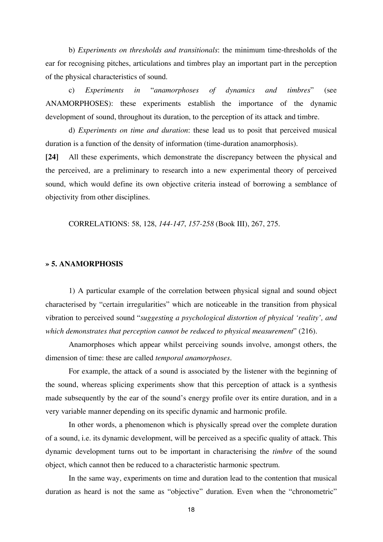b) *Experiments on thresholds and transitionals*: the minimum time-thresholds of the ear for recognising pitches, articulations and timbres play an important part in the perception of the physical characteristics of sound.

c) *Experiments in* "*anamorphoses of dynamics and timbres*" (see ANAMORPHOSES): these experiments establish the importance of the dynamic development of sound, throughout its duration, to the perception of its attack and timbre.

 d) *Experiments on time and duration*: these lead us to posit that perceived musical duration is a function of the density of information (time-duration anamorphosis).

**[24]** All these experiments, which demonstrate the discrepancy between the physical and the perceived, are a preliminary to research into a new experimental theory of perceived sound, which would define its own objective criteria instead of borrowing a semblance of objectivity from other disciplines.

CORRELATIONS: 58, 128, *144-147*, *157-258* (Book III), 267, 275.

# **» 5. ANAMORPHOSIS**

 1) A particular example of the correlation between physical signal and sound object characterised by "certain irregularities" which are noticeable in the transition from physical vibration to perceived sound "*suggesting a psychological distortion of physical 'reality', and which demonstrates that perception cannot be reduced to physical measurement*" (216).

 Anamorphoses which appear whilst perceiving sounds involve, amongst others, the dimension of time: these are called *temporal anamorphoses*.

 For example, the attack of a sound is associated by the listener with the beginning of the sound, whereas splicing experiments show that this perception of attack is a synthesis made subsequently by the ear of the sound's energy profile over its entire duration, and in a very variable manner depending on its specific dynamic and harmonic profile.

 In other words, a phenomenon which is physically spread over the complete duration of a sound, i.e. its dynamic development, will be perceived as a specific quality of attack. This dynamic development turns out to be important in characterising the *timbre* of the sound object, which cannot then be reduced to a characteristic harmonic spectrum.

 In the same way, experiments on time and duration lead to the contention that musical duration as heard is not the same as "objective" duration. Even when the "chronometric"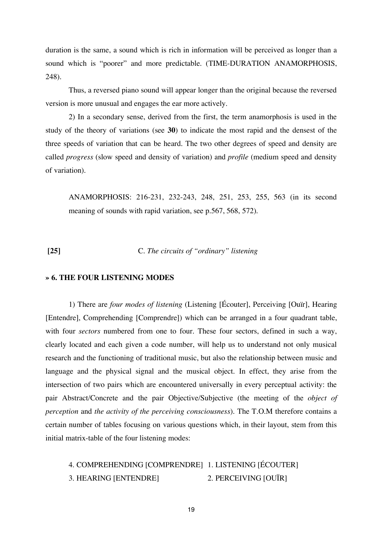duration is the same, a sound which is rich in information will be perceived as longer than a sound which is "poorer" and more predictable. (TIME-DURATION ANAMORPHOSIS, 248).

 Thus, a reversed piano sound will appear longer than the original because the reversed version is more unusual and engages the ear more actively.

 2) In a secondary sense, derived from the first, the term anamorphosis is used in the study of the theory of variations (see **30**) to indicate the most rapid and the densest of the three speeds of variation that can be heard. The two other degrees of speed and density are called *progress* (slow speed and density of variation) and *profile* (medium speed and density of variation).

 ANAMORPHOSIS: 216-231, 232-243, 248, 251, 253, 255, 563 (in its second meaning of sounds with rapid variation, see p.567, 568, 572).

 **[25]** C. *The circuits of "ordinary" listening*

## **» 6. THE FOUR LISTENING MODES**

 1) There are *four modes of listening* (Listening [Écouter], Perceiving [Ouïr], Hearing [Entendre], Comprehending [Comprendre]) which can be arranged in a four quadrant table, with four *sectors* numbered from one to four. These four sectors, defined in such a way, clearly located and each given a code number, will help us to understand not only musical research and the functioning of traditional music, but also the relationship between music and language and the physical signal and the musical object. In effect, they arise from the intersection of two pairs which are encountered universally in every perceptual activity: the pair Abstract/Concrete and the pair Objective/Subjective (the meeting of the *object of perception* and *the activity of the perceiving consciousness*). The T.O.M therefore contains a certain number of tables focusing on various questions which, in their layout, stem from this initial matrix-table of the four listening modes:

 4. COMPREHENDING [COMPRENDRE] 1. LISTENING [ÉCOUTER] 3. HEARING [ENTENDRE] 2. PERCEIVING [OUÏR]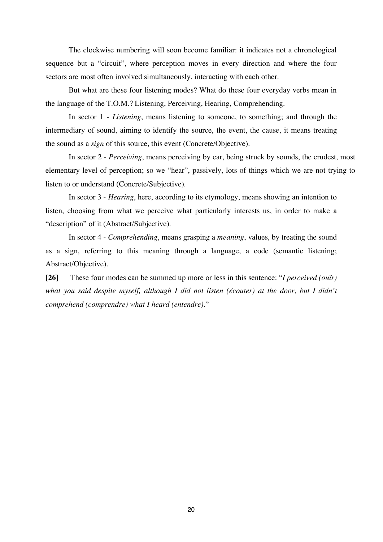The clockwise numbering will soon become familiar: it indicates not a chronological sequence but a "circuit", where perception moves in every direction and where the four sectors are most often involved simultaneously, interacting with each other.

 But what are these four listening modes? What do these four everyday verbs mean in the language of the T.O.M.? Listening, Perceiving, Hearing, Comprehending.

 In sector 1 - *Listening*, means listening to someone, to something; and through the intermediary of sound, aiming to identify the source, the event, the cause, it means treating the sound as a *sign* of this source, this event (Concrete/Objective).

 In sector 2 - *Perceiving*, means perceiving by ear, being struck by sounds, the crudest, most elementary level of perception; so we "hear", passively, lots of things which we are not trying to listen to or understand (Concrete/Subjective).

 In sector 3 - *Hearing*, here, according to its etymology, means showing an intention to listen, choosing from what we perceive what particularly interests us, in order to make a "description" of it (Abstract/Subjective).

 In sector 4 - *Comprehending*, means grasping a *meaning*, values, by treating the sound as a sign, referring to this meaning through a language, a code (semantic listening; Abstract/Objective).

**[26]** These four modes can be summed up more or less in this sentence: "*I perceived (ouïr) what you said despite myself, although I did not listen (écouter) at the door, but I didn't comprehend (comprendre) what I heard (entendre).*"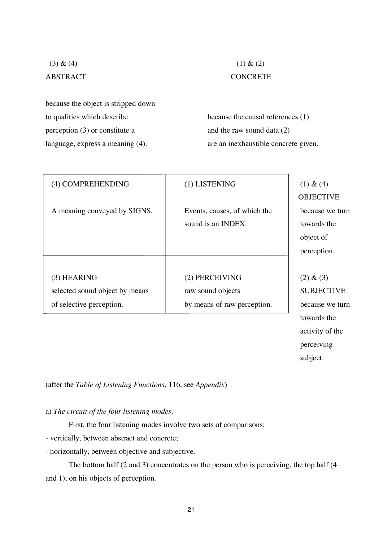because the object is stripped down to qualities which describe because the causal references (1) perception  $(3)$  or constitute a and the raw sound data  $(2)$ language, express a meaning (4). are an inexhaustible concrete given.

# (3) & (4) (1) & (2) ABSTRACT CONCRETE

| (4) COMPREHENDING              | (1) LISTENING                | (1) & (4)         |
|--------------------------------|------------------------------|-------------------|
|                                |                              | <b>OBJECTIVE</b>  |
| A meaning conveyed by SIGNS.   | Events, causes, of which the | because we turn   |
|                                | sound is an INDEX.           | towards the       |
|                                |                              | object of         |
|                                |                              | perception.       |
|                                |                              |                   |
| $(3)$ HEARING                  | (2) PERCEIVING               | (2) & (3)         |
| selected sound object by means | raw sound objects            | <b>SUBJECTIVE</b> |
| of selective perception.       | by means of raw perception.  | because we turn   |
|                                |                              |                   |

 towards the activity of the perceiving subject.

(after the *Table of Listening Functions*, 116, see *Appendix*)

a) *The circuit of the four listening modes.* 

First, the four listening modes involve two sets of comparisons:

- vertically, between abstract and concrete;
- horizontally, between objective and subjective.

The bottom half (2 and 3) concentrates on the person who is perceiving, the top half (4 and 1), on his objects of perception.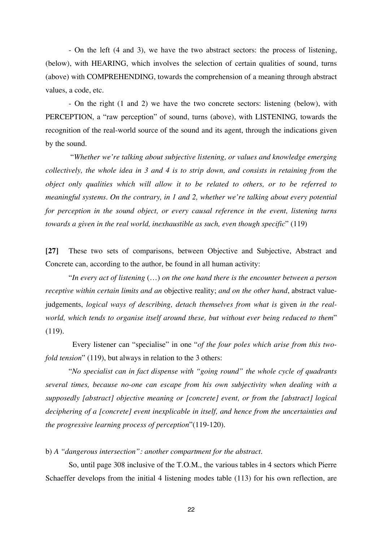- On the left (4 and 3), we have the two abstract sectors: the process of listening, (below), with HEARING, which involves the selection of certain qualities of sound, turns (above) with COMPREHENDING, towards the comprehension of a meaning through abstract values, a code, etc.

- On the right (1 and 2) we have the two concrete sectors: listening (below), with PERCEPTION, a "raw perception" of sound, turns (above), with LISTENING, towards the recognition of the real-world source of the sound and its agent, through the indications given by the sound.

 "*Whether we're talking about subjective listening, or values and knowledge emerging collectively, the whole idea in 3 and 4 is to strip down, and consists in retaining from the object only qualities which will allow it to be related to others, or to be referred to meaningful systems. On the contrary, in 1 and 2, whether we're talking about every potential for perception in the sound object, or every causal reference in the event, listening turns towards a given in the real world, inexhaustible as such, even though specific*" (119)

**[27]** These two sets of comparisons, between Objective and Subjective, Abstract and Concrete can, according to the author, be found in all human activity:

"*In every act of listening* (…) *on the one hand there is the encounter between a person receptive within certain limits and an* objective reality; *and on the other hand*, abstract valuejudgements, *logical ways of describing, detach themselves from what is given in the realworld, which tends to organise itself around these, but without ever being reduced to them*" (119).

 Every listener can "specialise" in one "*of the four poles which arise from this twofold tension*" (119), but always in relation to the 3 others:

"*No specialist can in fact dispense with "going round" the whole cycle of quadrants several times, because no-one can escape from his own subjectivity when dealing with a supposedly [abstract] objective meaning or [concrete] event, or from the [abstract] logical deciphering of a [concrete] event inexplicable in itself, and hence from the uncertainties and the progressive learning process of perception*"(119-120).

b) *A "dangerous intersection": another compartment for the abstract.*

 So, until page 308 inclusive of the T.O.M., the various tables in 4 sectors which Pierre Schaeffer develops from the initial 4 listening modes table (113) for his own reflection, are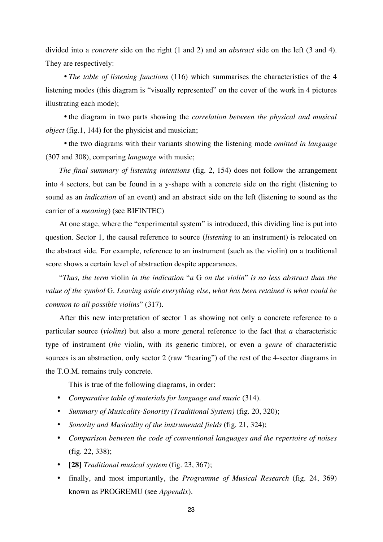divided into a *concrete* side on the right (1 and 2) and an *abstract* side on the left (3 and 4). They are respectively:

• *The table of listening functions* (116) which summarises the characteristics of the 4 listening modes (this diagram is "visually represented" on the cover of the work in 4 pictures illustrating each mode);

• the diagram in two parts showing the *correlation between the physical and musical object* (fig.1, 144) for the physicist and musician;

• the two diagrams with their variants showing the listening mode *omitted in language* (307 and 308), comparing *language* with music;

*The final summary of listening intentions* (fig. 2, 154) does not follow the arrangement into 4 sectors, but can be found in a y-shape with a concrete side on the right (listening to sound as an *indication* of an event) and an abstract side on the left (listening to sound as the carrier of a *meaning*) (see BIFINTEC)

At one stage, where the "experimental system" is introduced, this dividing line is put into question. Sector 1, the causal reference to source (*listening* to an instrument) is relocated on the abstract side. For example, reference to an instrument (such as the violin) on a traditional score shows a certain level of abstraction despite appearances.

"*Thus, the term* violin *in the indication* "*a* G *on the violin*" *is no less abstract than the value of the symbol* G. *Leaving aside everything else, what has been retained is what could be common to all possible violins*" (317).

After this new interpretation of sector 1 as showing not only a concrete reference to a particular source (*violins*) but also a more general reference to the fact that *a* characteristic type of instrument (*the* violin, with its generic timbre), or even a *genre* of characteristic sources is an abstraction, only sector 2 (raw "hearing") of the rest of the 4-sector diagrams in the T.O.M. remains truly concrete.

This is true of the following diagrams, in order:

- *Comparative table of materials for language and music* (314).
- *Summary of Musicality-Sonority (Traditional System)* (fig. 20, 320);
- *Sonority and Musicality of the instrumental fields* (fig. 21, 324);
- *Comparison between the code of conventional languages and the repertoire of noises* (fig. 22, 338);
- **[28]** *Traditional musical system* (fig. 23, 367);
- finally, and most importantly, the *Programme of Musical Research* (fig. 24, 369) known as PROGREMU (see *Appendix*).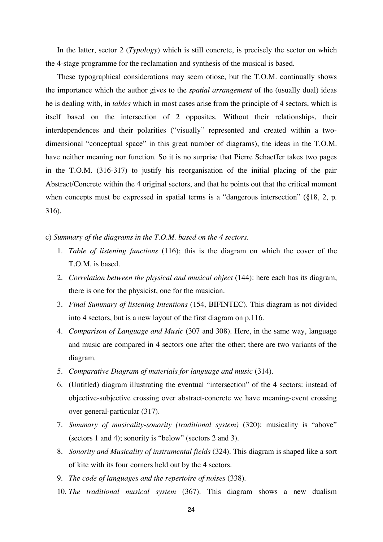In the latter, sector 2 (*Typology*) which is still concrete, is precisely the sector on which the 4-stage programme for the reclamation and synthesis of the musical is based.

These typographical considerations may seem otiose, but the T.O.M. continually shows the importance which the author gives to the *spatial arrangement* of the (usually dual) ideas he is dealing with, in *tables* which in most cases arise from the principle of 4 sectors, which is itself based on the intersection of 2 opposites. Without their relationships, their interdependences and their polarities ("visually" represented and created within a twodimensional "conceptual space" in this great number of diagrams), the ideas in the T.O.M. have neither meaning nor function. So it is no surprise that Pierre Schaeffer takes two pages in the T.O.M. (316-317) to justify his reorganisation of the initial placing of the pair Abstract/Concrete within the 4 original sectors, and that he points out that the critical moment when concepts must be expressed in spatial terms is a "dangerous intersection" (§18, 2, p. 316).

- c) *Summary of the diagrams in the T.O.M. based on the 4 sectors*.
	- 1. *Table of listening functions* (116); this is the diagram on which the cover of the T.O.M. is based.
	- 2. *Correlation between the physical and musical object* (144): here each has its diagram, there is one for the physicist, one for the musician.
	- 3. *Final Summary of listening Intentions* (154, BIFINTEC). This diagram is not divided into 4 sectors, but is a new layout of the first diagram on p.116.
	- 4. *Comparison of Language and Music* (307 and 308). Here, in the same way, language and music are compared in 4 sectors one after the other; there are two variants of the diagram.
	- 5. *Comparative Diagram of materials for language and music* (314).
	- 6. (Untitled) diagram illustrating the eventual "intersection" of the 4 sectors: instead of objective-subjective crossing over abstract-concrete we have meaning-event crossing over general-particular (317).
	- 7. *Summary of musicality-sonority (traditional system)* (320): musicality is "above" (sectors 1 and 4); sonority is "below" (sectors 2 and 3).
	- 8. *Sonority and Musicality of instrumental fields* (324). This diagram is shaped like a sort of kite with its four corners held out by the 4 sectors.
	- 9. *The code of languages and the repertoire of noises* (338).
	- 10. *The traditional musical system* (367). This diagram shows a new dualism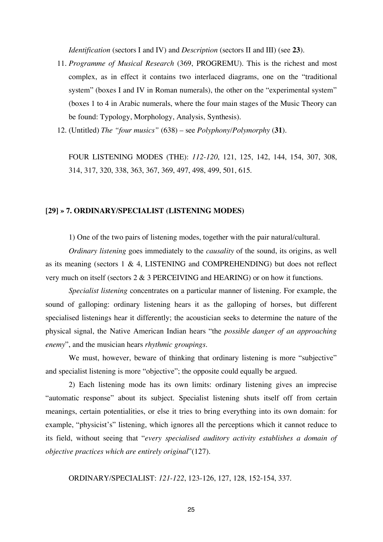*Identification* (sectors I and IV) and *Description* (sectors II and III) (see **23**).

- 11. *Programme of Musical Research* (369, PROGREMU). This is the richest and most complex, as in effect it contains two interlaced diagrams, one on the "traditional system" (boxes I and IV in Roman numerals), the other on the "experimental system" (boxes 1 to 4 in Arabic numerals, where the four main stages of the Music Theory can be found: Typology, Morphology, Analysis, Synthesis).
- 12. (Untitled) *The "four musics"* (638) see *Polyphony/Polymorphy* (**31**).

 FOUR LISTENING MODES (THE): *112-120*, 121, 125, 142, 144, 154, 307, 308, 314, 317, 320, 338, 363, 367, 369, 497, 498, 499, 501, 615.

## **[29] » 7. ORDINARY/SPECIALIST (LISTENING MODES)**

1) One of the two pairs of listening modes, together with the pair natural/cultural.

*Ordinary listening* goes immediately to the *causality* of the sound, its origins, as well as its meaning (sectors 1 & 4, LISTENING and COMPREHENDING) but does not reflect very much on itself (sectors 2 & 3 PERCEIVING and HEARING) or on how it functions.

*Specialist listening* concentrates on a particular manner of listening. For example, the sound of galloping: ordinary listening hears it as the galloping of horses, but different specialised listenings hear it differently; the acoustician seeks to determine the nature of the physical signal, the Native American Indian hears "the *possible danger of an approaching enemy*", and the musician hears *rhythmic groupings*.

We must, however, beware of thinking that ordinary listening is more "subjective" and specialist listening is more "objective"; the opposite could equally be argued.

 2) Each listening mode has its own limits: ordinary listening gives an imprecise "automatic response" about its subject. Specialist listening shuts itself off from certain meanings, certain potentialities, or else it tries to bring everything into its own domain: for example, "physicist's" listening, which ignores all the perceptions which it cannot reduce to its field, without seeing that "*every specialised auditory activity establishes a domain of objective practices which are entirely original*"(127).

ORDINARY/SPECIALIST: *121-122*, 123-126, 127, 128, 152-154, 337.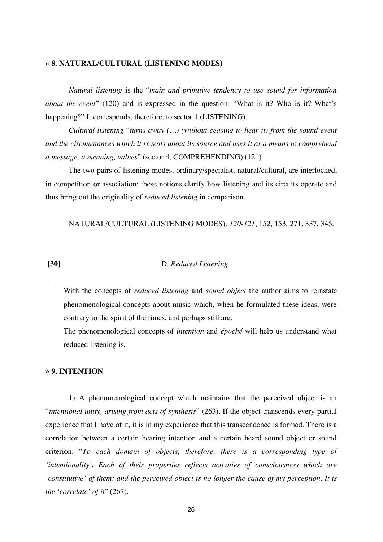## **» 8. NATURAL/CULTURAL (LISTENING MODES)**

*Natural listening* is the "*main and primitive tendency to use sound for information about the event*" (120) and is expressed in the question: "What is it? Who is it? What's happening?" It corresponds, therefore, to sector 1 (LISTENING).

*Cultural listening* "*turns away (…) (without ceasing to hear it) from the sound event and the circumstances which it reveals about its source and uses it as a means to comprehend a message, a meaning, values*" (sector 4, COMPREHENDING) (121).

 The two pairs of listening modes, ordinary/specialist, natural/cultural, are interlocked, in competition or association: these notions clarify how listening and its circuits operate and thus bring out the originality of *reduced listening* in comparison.

NATURAL/CULTURAL (LISTENING MODES): *120-121*, 152, 153, 271, 337, 345.

## **[30]** D. *Reduced Listening*

With the concepts of *reduced listening* and *sound object* the author aims to reinstate phenomenological concepts about music which, when he formulated these ideas, were contrary to the spirit of the times, and perhaps still are.

The phenomenological concepts of *intention* and *époché* will help us understand what reduced listening is.

## **» 9. INTENTION**

 1) A phenomenological concept which maintains that the perceived object is an "*intentional unity, arising from acts of synthesis*" (263). If the object transcends every partial experience that I have of it, it is in my experience that this transcendence is formed. There is a correlation between a certain hearing intention and a certain heard sound object or sound criterion. "*To each domain of objects, therefore, there is a corresponding type of 'intentionality'. Each of their properties reflects activities of consciousness which are 'constitutive' of them: and the perceived object is no longer the cause of my perception. It is the 'correlate' of it*" (267).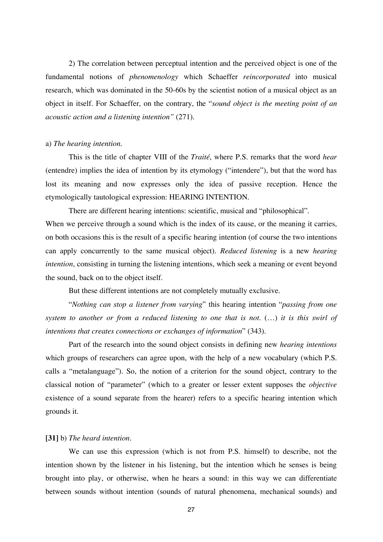2) The correlation between perceptual intention and the perceived object is one of the fundamental notions of *phenomenology* which Schaeffer *reincorporated* into musical research, which was dominated in the 50-60s by the scientist notion of a musical object as an object in itself. For Schaeffer, on the contrary, the "*sound object is the meeting point of an acoustic action and a listening intention"* (271).

## a) *The hearing intention.*

 This is the title of chapter VIII of the *Traité*, where P.S. remarks that the word *hear* (entendre) implies the idea of intention by its etymology ("intendere"), but that the word has lost its meaning and now expresses only the idea of passive reception. Hence the etymologically tautological expression: HEARING INTENTION.

 There are different hearing intentions: scientific, musical and "philosophical". When we perceive through a sound which is the index of its cause, or the meaning it carries, on both occasions this is the result of a specific hearing intention (of course the two intentions can apply concurrently to the same musical object). *Reduced listening* is a new *hearing intention*, consisting in turning the listening intentions, which seek a meaning or event beyond the sound, back on to the object itself.

But these different intentions are not completely mutually exclusive.

 "*Nothing can stop a listener from varying*" this hearing intention "*passing from one system to another or from a reduced listening to one that is not*. (…) *it is this swirl of intentions that creates connections or exchanges of information*" (343).

 Part of the research into the sound object consists in defining new *hearing intentions* which groups of researchers can agree upon, with the help of a new vocabulary (which P.S. calls a "metalanguage"). So, the notion of a criterion for the sound object, contrary to the classical notion of "parameter" (which to a greater or lesser extent supposes the *objective* existence of a sound separate from the hearer) refers to a specific hearing intention which grounds it.

## **[31]** b) *The heard intention.*

 We can use this expression (which is not from P.S. himself) to describe, not the intention shown by the listener in his listening, but the intention which he senses is being brought into play, or otherwise, when he hears a sound: in this way we can differentiate between sounds without intention (sounds of natural phenomena, mechanical sounds) and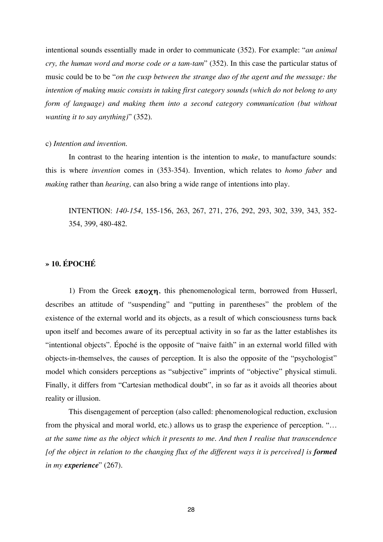intentional sounds essentially made in order to communicate (352). For example: "*an animal cry, the human word and morse code or a tam-tam*" (352). In this case the particular status of music could be to be "*on the cusp between the strange duo of the agent and the message: the intention of making music consists in taking first category sounds (which do not belong to any form of language) and making them into a second category communication (but without wanting it to say anything)*" (352).

## c) *Intention and invention.*

 In contrast to the hearing intention is the intention to *make*, to manufacture sounds: this is where *invention* comes in (353-354). Invention, which relates to *homo faber* and *making* rather than *hearing,* can also bring a wide range of intentions into play.

 INTENTION: *140-154*, 155-156, 263, 267, 271, 276, 292, 293, 302, 339, 343, 352- 354, 399, 480-482.

# **» 10. ÉPOCHÉ**

1) From the Greek  $\epsilon \pi o \chi \eta$ , this phenomenological term, borrowed from Husserl, describes an attitude of "suspending" and "putting in parentheses" the problem of the existence of the external world and its objects, as a result of which consciousness turns back upon itself and becomes aware of its perceptual activity in so far as the latter establishes its "intentional objects". Époché is the opposite of "naive faith" in an external world filled with objects-in-themselves, the causes of perception. It is also the opposite of the "psychologist" model which considers perceptions as "subjective" imprints of "objective" physical stimuli. Finally, it differs from "Cartesian methodical doubt", in so far as it avoids all theories about reality or illusion.

 This disengagement of perception (also called: phenomenological reduction, exclusion from the physical and moral world, etc.) allows us to grasp the experience of perception. "… *at the same time as the object which it presents to me*. *And then I realise that transcendence [of the object in relation to the changing flux of the different ways it is perceived] is formed in my experience*" (267).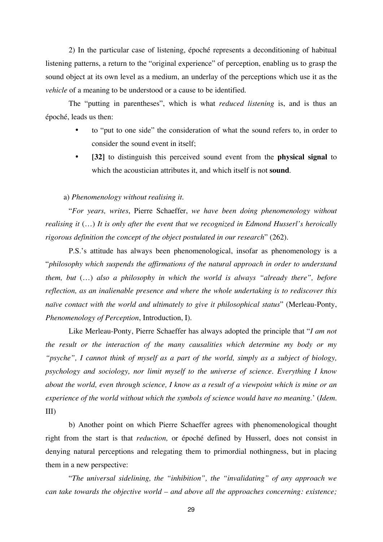2) In the particular case of listening, époché represents a deconditioning of habitual listening patterns, a return to the "original experience" of perception, enabling us to grasp the sound object at its own level as a medium, an underlay of the perceptions which use it as the *vehicle* of a meaning to be understood or a cause to be identified.

 The "putting in parentheses", which is what *reduced listening* is, and is thus an époché, leads us then:

- to "put to one side" the consideration of what the sound refers to, in order to consider the sound event in itself;
- **[32]** to distinguish this perceived sound event from the **physical signal** to which the acoustician attributes it, and which itself is not **sound**.

## a) *Phenomenology without realising it.*

 "*For years, writes*, Pierre Schaeffer, *we have been doing phenomenology without realising it* (…) *It is only after the event that we recognized in Edmond Husserl's heroically rigorous definition the concept of the object postulated in our research*" (262).

P.S.'s attitude has always been phenomenological, insofar as phenomenology is a "*philosophy which suspends the affirmations of the natural approach in order to understand them, but* (…) *also a philosophy in which the world is always "already there", before reflection, as an inalienable presence and where the whole undertaking is to rediscover this naïve contact with the world and ultimately to give it philosophical status*" (Merleau-Ponty, *Phenomenology of Perception*, Introduction, I).

 Like Merleau-Ponty, Pierre Schaeffer has always adopted the principle that "*I am not the result or the interaction of the many causalities which determine my body or my "psyche", I cannot think of myself as a part of the world, simply as a subject of biology, psychology and sociology, nor limit myself to the universe of science. Everything I know about the world, even through science, I know as a result of a viewpoint which is mine or an experience of the world without which the symbols of science would have no meaning.*' (*Idem*. III)

 b) Another point on which Pierre Schaeffer agrees with phenomenological thought right from the start is that *reduction,* or époché defined by Husserl, does not consist in denying natural perceptions and relegating them to primordial nothingness, but in placing them in a new perspective:

 "*The universal sidelining, the "inhibition", the "invalidating" of any approach we can take towards the objective world – and above all the approaches concerning: existence;*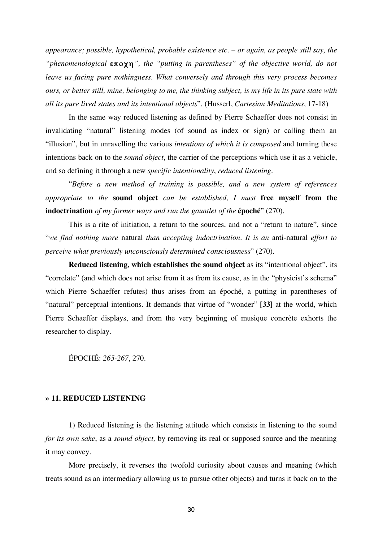*appearance; possible, hypothetical, probable existence etc. – or again, as people still say, the*  "phenomenological  $\epsilon \pi o \chi \eta$ ", the "putting in parentheses" of the objective world, do not leave us facing pure nothingness. What conversely and through this very process becomes *ours, or better still, mine, belonging to me, the thinking subject, is my life in its pure state with all its pure lived states and its intentional objects*". (Husserl, *Cartesian Meditations*, 17-18)

 In the same way reduced listening as defined by Pierre Schaeffer does not consist in invalidating "natural" listening modes (of sound as index or sign) or calling them an "illusion", but in unravelling the various *intentions of which it is composed* and turning these intentions back on to the *sound object*, the carrier of the perceptions which use it as a vehicle, and so defining it through a new *specific intentionality*, *reduced listening*.

 "*Before a new method of training is possible, and a new system of references appropriate to the* **sound object** *can be established, I must* **free myself from the indoctrination** *of my former ways and run the gauntlet of the* **époché**" (270).

 This is a rite of initiation, a return to the sources, and not a "return to nature", since "*we find nothing more* natural *than accepting indoctrination. It is an* anti-natural *effort to perceive what previously unconsciously determined consciousness*" (270).

**Reduced listening**, **which establishes the sound object** as its "intentional object", its "correlate" (and which does not arise from it as from its cause, as in the "physicist's schema" which Pierre Schaeffer refutes) thus arises from an époché, a putting in parentheses of "natural" perceptual intentions. It demands that virtue of "wonder" **[33]** at the world, which Pierre Schaeffer displays, and from the very beginning of musique concrète exhorts the researcher to display.

ÉPOCHÉ: *265-267*, 270.

# **» 11. REDUCED LISTENING**

 1) Reduced listening is the listening attitude which consists in listening to the sound *for its own sake*, as a *sound object,* by removing its real or supposed source and the meaning it may convey.

 More precisely, it reverses the twofold curiosity about causes and meaning (which treats sound as an intermediary allowing us to pursue other objects) and turns it back on to the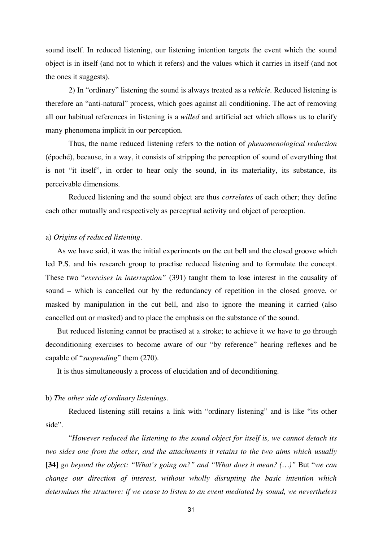sound itself. In reduced listening, our listening intention targets the event which the sound object is in itself (and not to which it refers) and the values which it carries in itself (and not the ones it suggests).

 2) In "ordinary" listening the sound is always treated as a *vehicle*. Reduced listening is therefore an "anti-natural" process, which goes against all conditioning. The act of removing all our habitual references in listening is a *willed* and artificial act which allows us to clarify many phenomena implicit in our perception.

 Thus, the name reduced listening refers to the notion of *phenomenological reduction* (époché), because, in a way, it consists of stripping the perception of sound of everything that is not "it itself", in order to hear only the sound, in its materiality, its substance, its perceivable dimensions.

 Reduced listening and the sound object are thus *correlates* of each other; they define each other mutually and respectively as perceptual activity and object of perception.

# a) *Origins of reduced listening*.

As we have said, it was the initial experiments on the cut bell and the closed groove which led P.S. and his research group to practise reduced listening and to formulate the concept. These two "*exercises in interruption"* (391) taught them to lose interest in the causality of sound – which is cancelled out by the redundancy of repetition in the closed groove, or masked by manipulation in the cut bell, and also to ignore the meaning it carried (also cancelled out or masked) and to place the emphasis on the substance of the sound.

But reduced listening cannot be practised at a stroke; to achieve it we have to go through deconditioning exercises to become aware of our "by reference" hearing reflexes and be capable of "*suspending*" them (270).

It is thus simultaneously a process of elucidation and of deconditioning.

## b) *The other side of ordinary listenings*.

 Reduced listening still retains a link with "ordinary listening" and is like "its other side".

 "*However reduced the listening to the sound object for itself is, we cannot detach its two sides one from the other, and the attachments it retains to the two aims which usually* **[34]** *go beyond the object: "What's going on?" and "What does it mean? (…)"* But "*we can change our direction of interest, without wholly disrupting the basic intention which determines the structure: if we cease to listen to an event mediated by sound, we nevertheless*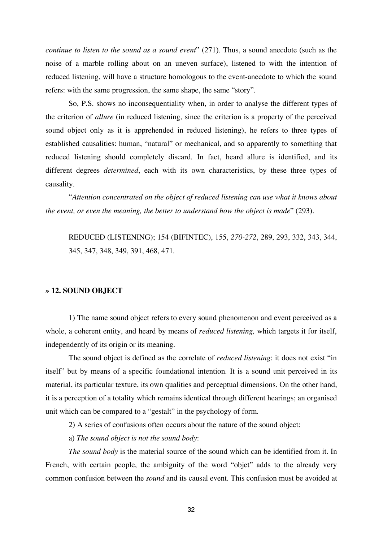*continue to listen to the sound as a sound event*" (271). Thus, a sound anecdote (such as the noise of a marble rolling about on an uneven surface), listened to with the intention of reduced listening, will have a structure homologous to the event-anecdote to which the sound refers: with the same progression, the same shape, the same "story".

 So, P.S. shows no inconsequentiality when, in order to analyse the different types of the criterion of *allure* (in reduced listening, since the criterion is a property of the perceived sound object only as it is apprehended in reduced listening), he refers to three types of established causalities: human, "natural" or mechanical, and so apparently to something that reduced listening should completely discard. In fact, heard allure is identified, and its different degrees *determined*, each with its own characteristics, by these three types of causality.

 "*Attention concentrated on the object of reduced listening can use what it knows about the event, or even the meaning, the better to understand how the object is made*" (293).

 REDUCED (LISTENING); 154 (BIFINTEC), 155, *270-272*, 289, 293, 332, 343, 344, 345, 347, 348, 349, 391, 468, 471.

## **» 12. SOUND OBJECT**

 1) The name sound object refers to every sound phenomenon and event perceived as a whole, a coherent entity, and heard by means of *reduced listening,* which targets it for itself, independently of its origin or its meaning.

 The sound object is defined as the correlate of *reduced listening*: it does not exist "in itself" but by means of a specific foundational intention. It is a sound unit perceived in its material, its particular texture, its own qualities and perceptual dimensions. On the other hand, it is a perception of a totality which remains identical through different hearings; an organised unit which can be compared to a "gestalt" in the psychology of form.

2) A series of confusions often occurs about the nature of the sound object:

a) *The sound object is not the sound body*:

*The sound body* is the material source of the sound which can be identified from it. In French, with certain people, the ambiguity of the word "objet" adds to the already very common confusion between the *sound* and its causal event. This confusion must be avoided at